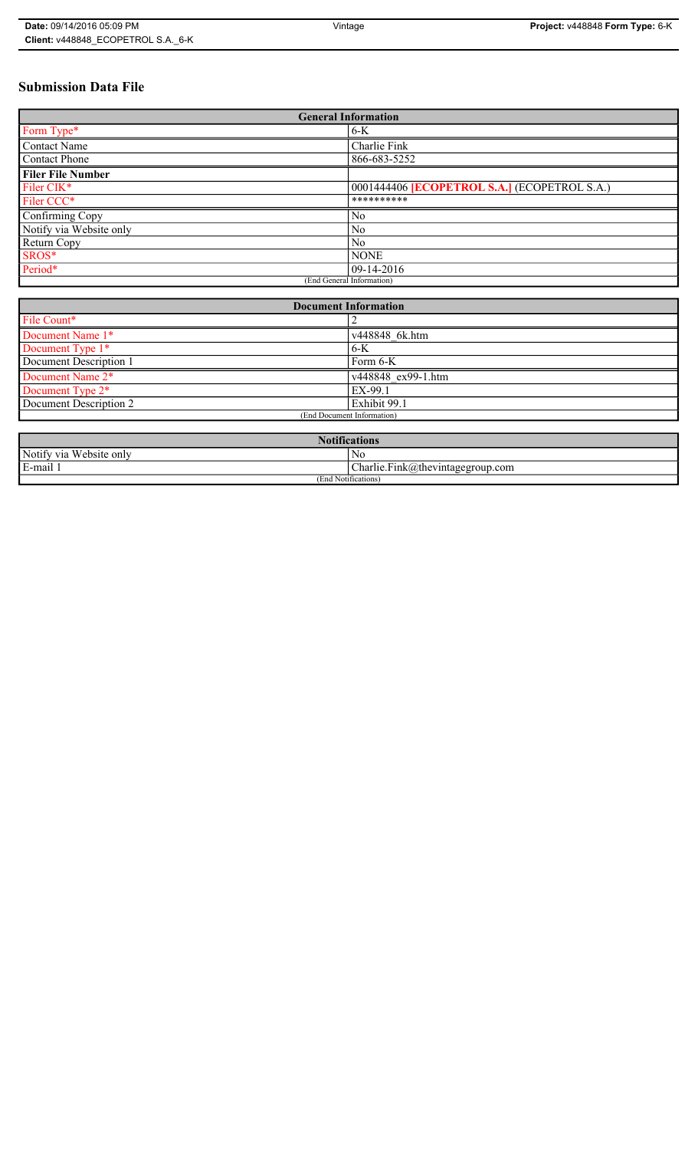### **Submission Data File**

| <b>General Information</b> |                                                     |  |
|----------------------------|-----------------------------------------------------|--|
| Form Type*                 | $6-K$                                               |  |
| <b>Contact Name</b>        | Charlie Fink                                        |  |
| <b>Contact Phone</b>       | 866-683-5252                                        |  |
| <b>Filer File Number</b>   |                                                     |  |
| Filer CIK*                 | 0001444406 <b>[ECOPETROL S.A.]</b> (ECOPETROL S.A.) |  |
| Filer CCC*                 | **********                                          |  |
| Confirming Copy            | N <sub>0</sub>                                      |  |
| Notify via Website only    | No                                                  |  |
| Return Copy                | No                                                  |  |
| SROS*                      | <b>NONE</b>                                         |  |
| Period*                    | $ 09-14-2016 $                                      |  |
| (End General Information)  |                                                     |  |

| <b>Document Information</b>  |                    |
|------------------------------|--------------------|
| File Count*                  |                    |
| Document Name 1*             | v448848 6k.htm     |
| Document Type 1*             | $6-K$              |
| Document Description 1       | Form 6-K           |
| Document Name 2*             | v448848 ex99-1.htm |
| Document Type 2 <sup>*</sup> | EX-99.1            |
| Document Description 2       | Exhibit 99.1       |
| (End Document Information)   |                    |
|                              |                    |

| <b>AT</b><br>$\sqrt{2}$<br>tications<br>$-10^{17}$ |                                     |  |
|----------------------------------------------------|-------------------------------------|--|
| Notify via<br><b>TTT</b> 1<br>∟Website onlv        | N0                                  |  |
| E-mail                                             | $Charlie.Fink@$ thevintagegroup.com |  |
| (End Notifications)                                |                                     |  |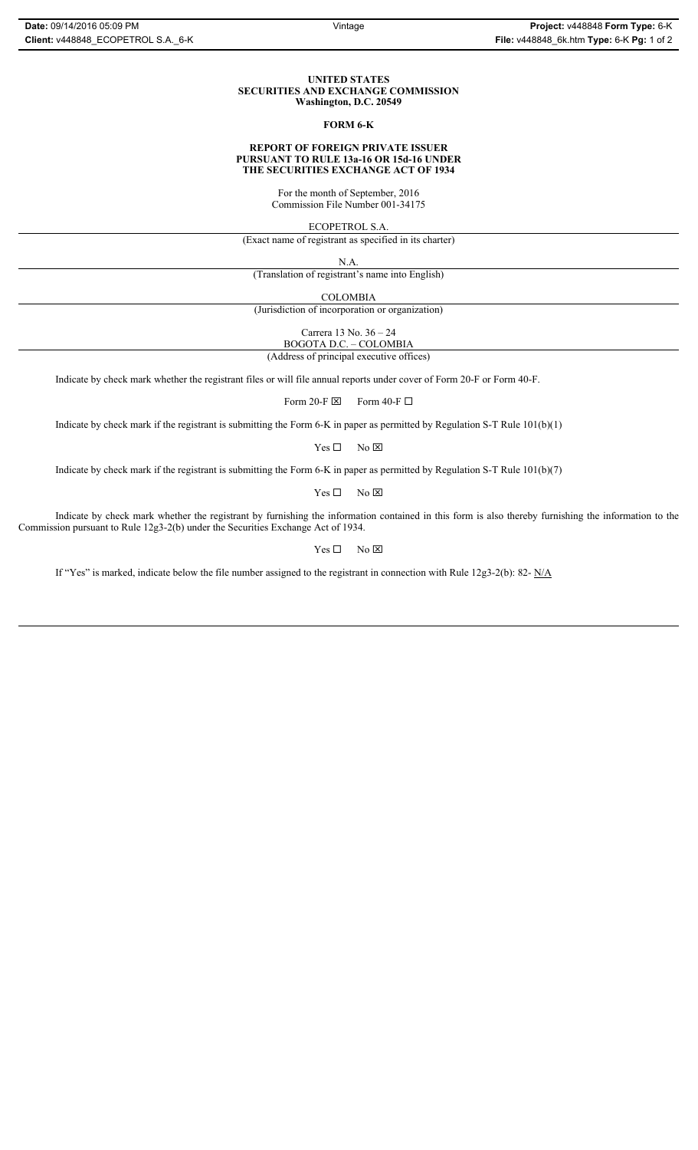#### **UNITED STATES SECURITIES AND EXCHANGE COMMISSION Washington, D.C. 20549**

### **FORM 6-K**

#### **REPORT OF FOREIGN PRIVATE ISSUER PURSUANT TO RULE 13a-16 OR 15d-16 UNDER THE SECURITIES EXCHANGE ACT OF 1934**

For the month of September, 2016 Commission File Number 001-34175

ECOPETROL S.A.

(Exact name of registrant as specified in its charter)

N.A.

(Translation of registrant's name into English)

COLOMBIA

(Jurisdiction of incorporation or organization)

Carrera 13 No. 36 – 24

BOGOTA D.C. – COLOMBIA (Address of principal executive offices)

Indicate by check mark whether the registrant files or will file annual reports under cover of Form 20-F or Form 40-F.

Form 20-F  $\boxtimes$  Form 40-F  $\Box$ 

Indicate by check mark if the registrant is submitting the Form 6-K in paper as permitted by Regulation S-T Rule 101(b)(1)

 $Yes \Box$  No  $\boxtimes$ 

Indicate by check mark if the registrant is submitting the Form 6-K in paper as permitted by Regulation S-T Rule 101(b)(7)

 $Yes \Box$  No  $\boxtimes$ 

Indicate by check mark whether the registrant by furnishing the information contained in this form is also thereby furnishing the information to the Commission pursuant to Rule 12g3-2(b) under the Securities Exchange Act of 1934.

 $Yes \Box$  No  $\boxtimes$ 

If "Yes" is marked, indicate below the file number assigned to the registrant in connection with Rule 12g3-2(b): 82- N/A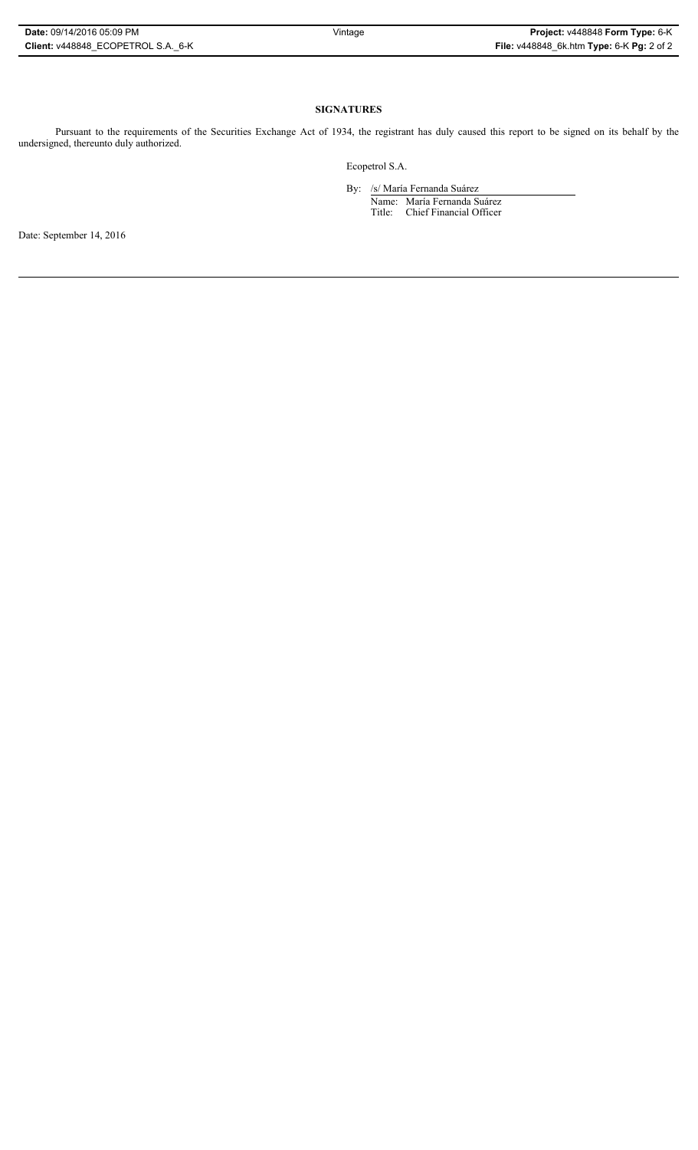Pursuant to the requirements of the Securities Exchange Act of 1934, the registrant has duly caused this report to be signed on its behalf by the undersigned, thereunto duly authorized.

Ecopetrol S.A.

By: /s/ María Fernanda Suárez Name: María Fernanda Suárez Title: Chief Financial Officer

Date: September 14, 2016

# **SIGNATURES**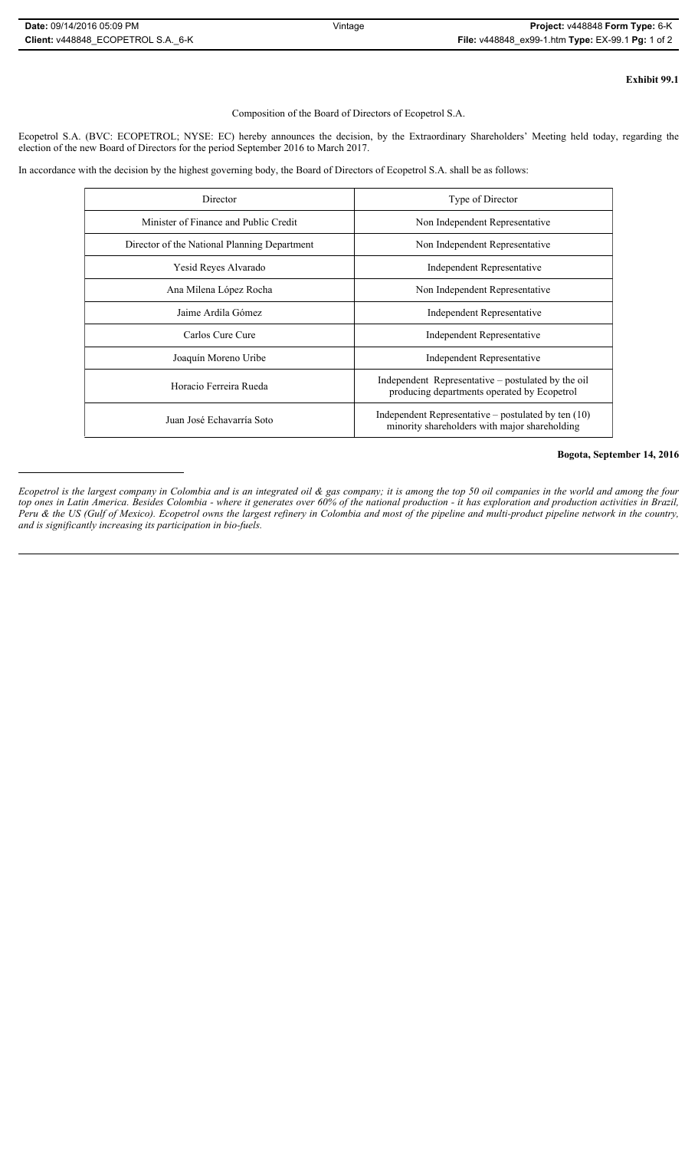### **Date:** 09/14/2016 05:09 PM Vintage **Project:** v448848 **Form Type:** 6-K **Client:** v448848\_ECOPETROL S.A.\_6-K **File:** v448848\_ex99-1.htm **Type:** EX-99.1 **Pg:** 1 of 2

## **Exhibit 99.1**

Composition of the Board of Directors of Ecopetrol S.A.

Ecopetrol S.A. (BVC: ECOPETROL; NYSE: EC) hereby announces the decision, by the Extraordinary Shareholders' Meeting held today, regarding the election of the new Board of Directors for the period September 2016 to March 2017.

In accordance with the decision by the highest governing body, the Board of Directors of Ecopetrol S.A. shall be as follows:

| Director                                     | Type of Director                                                                                       |  |
|----------------------------------------------|--------------------------------------------------------------------------------------------------------|--|
| Minister of Finance and Public Credit        | Non Independent Representative                                                                         |  |
| Director of the National Planning Department | Non Independent Representative                                                                         |  |
| Yesid Reyes Alvarado                         | Independent Representative                                                                             |  |
| Ana Milena López Rocha                       | Non Independent Representative                                                                         |  |
| Jaime Ardila Gómez                           | Independent Representative                                                                             |  |
| Carlos Cure Cure                             | Independent Representative                                                                             |  |
| Joaquín Moreno Uribe                         | <b>Independent Representative</b>                                                                      |  |
| Horacio Ferreira Rueda                       | Independent Representative – postulated by the oil<br>producing departments operated by Ecopetrol      |  |
| Juan José Echavarría Soto                    | Independent Representative – postulated by ten $(10)$<br>minority shareholders with major shareholding |  |

### **Bogota, September 14, 2016**

*Ecopetrol is the largest company in Colombia and is an integrated oil & gas company; it is among the top 50 oil companies in the world and among the four top ones in Latin America. Besides Colombia - where it generates over 60% of the national production - it has exploration and production activities in Brazil, Peru & the US (Gulf of Mexico). Ecopetrol owns the largest refinery in Colombia and most of the pipeline and multi-product pipeline network in the country, and is significantly increasing its participation in bio-fuels.*